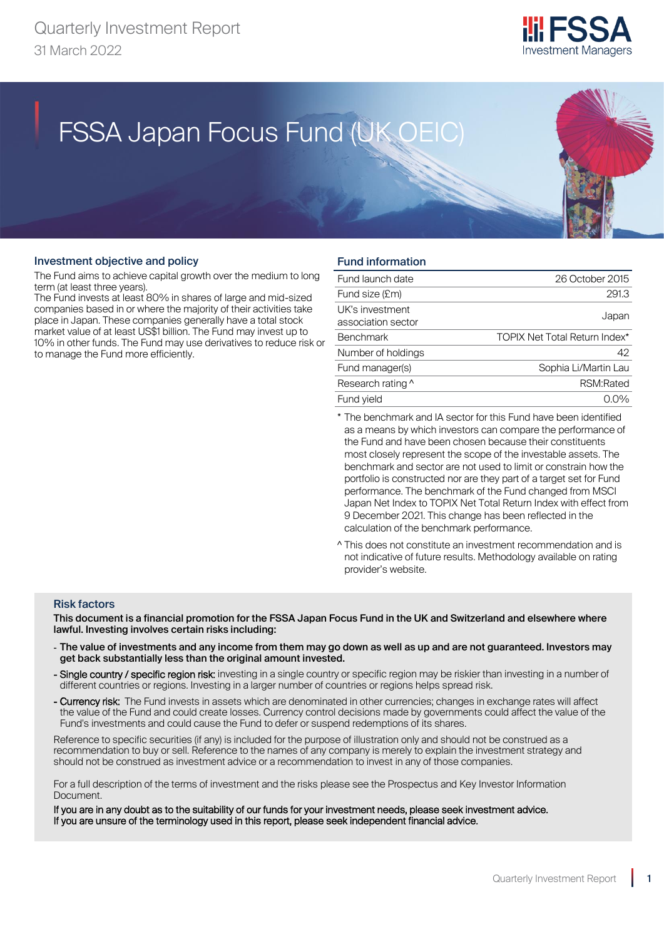

# FSSA Japan Focus Fund (UK OEIC) FSSA Japan Focus Fund (UK OEIC)

#### Investment objective and policy

The Fund aims to achieve capital growth over the medium to long term (at least three years).

The Fund invests at least 80% in shares of large and mid-sized companies based in or where the majority of their activities take place in Japan. These companies generally have a total stock market value of at least US\$1 billion. The Fund may invest up to 10% in other funds. The Fund may use derivatives to reduce risk or to manage the Fund more efficiently.

## Fund information

| Fund launch date                      | 26 October 2015                      |
|---------------------------------------|--------------------------------------|
| Fund size (£m)                        | 291.3                                |
| UK's investment<br>association sector | Japan                                |
| <b>Benchmark</b>                      | <b>TOPIX Net Total Return Index*</b> |
| Number of holdings                    | 42                                   |
| Fund manager(s)                       | Sophia Li/Martin Lau                 |
| Research rating ^                     | RSM:Rated                            |
| Fund vield                            |                                      |

\* The benchmark and IA sector for this Fund have been identified as a means by which investors can compare the performance of the Fund and have been chosen because their constituents most closely represent the scope of the investable assets. The benchmark and sector are not used to limit or constrain how the portfolio is constructed nor are they part of a target set for Fund performance. The benchmark of the Fund changed from MSCI Japan Net Index to TOPIX Net Total Return Index with effect from 9 December 2021. This change has been reflected in the calculation of the benchmark performance.

^ This does not constitute an investment recommendation and is not indicative of future results. Methodology available on rating provider's website.

#### Risk factors

This document is a financial promotion for the FSSA Japan Focus Fund in the UK and Switzerland and elsewhere where lawful. Investing involves certain risks including:

- The value of investments and any income from them may go down as well as up and are not guaranteed. Investors may get back substantially less than the original amount invested.
- Single country / specific region risk: investing in a single country or specific region may be riskier than investing in a number of different countries or regions. Investing in a larger number of countries or regions helps spread risk.
- Currency risk: The Fund invests in assets which are denominated in other currencies; changes in exchange rates will affect the value of the Fund and could create losses. Currency control decisions made by governments could affect the value of the Fund's investments and could cause the Fund to defer or suspend redemptions of its shares.

Reference to specific securities (if any) is included for the purpose of illustration only and should not be construed as a recommendation to buy or sell. Reference to the names of any company is merely to explain the investment strategy and should not be construed as investment advice or a recommendation to invest in any of those companies.

For a full description of the terms of investment and the risks please see the Prospectus and Key Investor Information Document.

If you are in any doubt as to the suitability of our funds for your investment needs, please seek investment advice. If you are unsure of the terminology used in this report, please seek independent financial advice.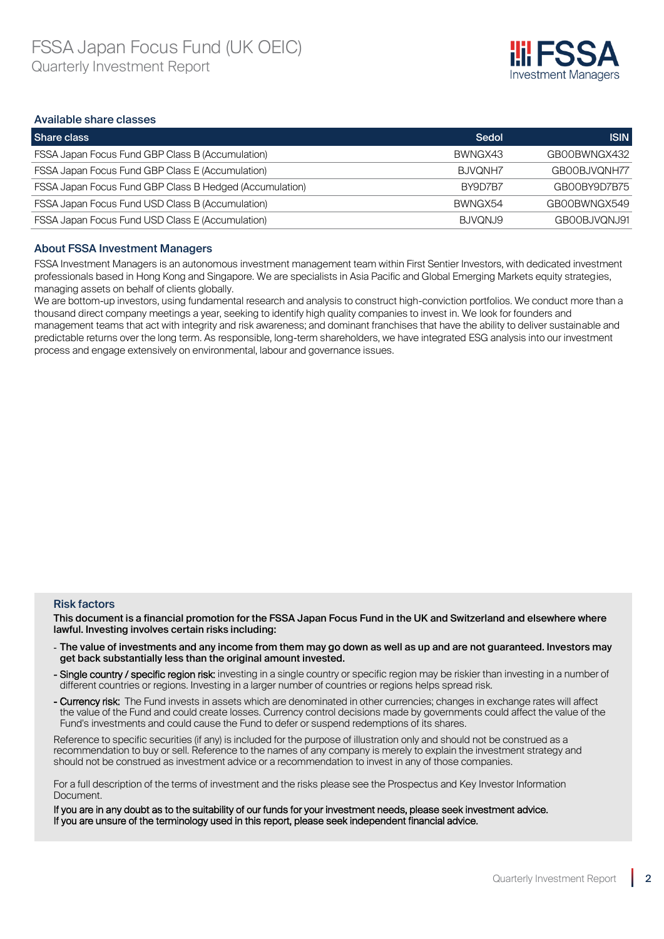

#### Available share classes

| Share class                                                    | Sedol   | <b>ISIN</b>  |
|----------------------------------------------------------------|---------|--------------|
| <b>FSSA Japan Focus Fund GBP Class B (Accumulation)</b>        | BWNGX43 | GB00BWNGX432 |
| FSSA Japan Focus Fund GBP Class E (Accumulation)               | BJVQNH7 | GB00BJVQNH77 |
| <b>FSSA Japan Focus Fund GBP Class B Hedged (Accumulation)</b> | BY9D7B7 | GB00BY9D7B75 |
| <b>FSSA Japan Focus Fund USD Class B (Accumulation)</b>        | BWNGX54 | GB00BWNGX549 |
| <b>FSSA Japan Focus Fund USD Class E (Accumulation)</b>        | BJVQNJ9 | GBOOBJVONJ91 |

#### About FSSA Investment Managers

FSSA Investment Managers is an autonomous investment management team within First Sentier Investors, with dedicated investment professionals based in Hong Kong and Singapore. We are specialists in Asia Pacific and Global Emerging Markets equity strategies, managing assets on behalf of clients globally.

We are bottom-up investors, using fundamental research and analysis to construct high-conviction portfolios. We conduct more than a thousand direct company meetings a year, seeking to identify high quality companies to invest in. We look for founders and management teams that act with integrity and risk awareness; and dominant franchises that have the ability to deliver sustainable and predictable returns over the long term. As responsible, long-term shareholders, we have integrated ESG analysis into our investment process and engage extensively on environmental, labour and governance issues.

#### Risk factors

This document is a financial promotion for the FSSA Japan Focus Fund in the UK and Switzerland and elsewhere where lawful. Investing involves certain risks including:

- The value of investments and any income from them may go down as well as up and are not guaranteed. Investors may get back substantially less than the original amount invested.
- Single country / specific region risk: investing in a single country or specific region may be riskier than investing in a number of different countries or regions. Investing in a larger number of countries or regions helps spread risk.
- Currency risk: The Fund invests in assets which are denominated in other currencies; changes in exchange rates will affect the value of the Fund and could create losses. Currency control decisions made by governments could affect the value of the Fund's investments and could cause the Fund to defer or suspend redemptions of its shares.

Reference to specific securities (if any) is included for the purpose of illustration only and should not be construed as a recommendation to buy or sell. Reference to the names of any company is merely to explain the investment strategy and should not be construed as investment advice or a recommendation to invest in any of those companies.

For a full description of the terms of investment and the risks please see the Prospectus and Key Investor Information Document.

If you are in any doubt as to the suitability of our funds for your investment needs, please seek investment advice. If you are unsure of the terminology used in this report, please seek independent financial advice.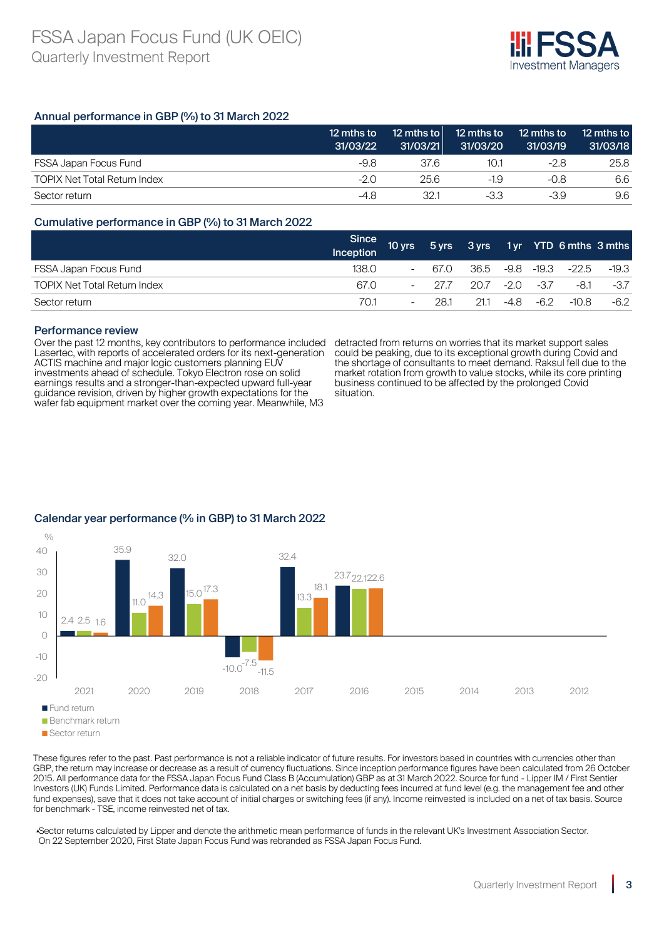

## Annual performance in GBP (%) to 31 March 2022

|                                     | 12 mths to<br>31/03/22 | 12 mths to<br>31/03/21 | 12 mths to<br>31/03/20 | 12 mths to<br>31/03/19 | 12 mths to<br>31/03/18 |
|-------------------------------------|------------------------|------------------------|------------------------|------------------------|------------------------|
| <b>FSSA Japan Focus Fund</b>        | -9.8                   | 37.6                   | 10.1                   | -2.8                   | 25.8                   |
| <b>TOPIX Net Total Return Index</b> | -2.0                   | 25.6                   | $-1.9$                 | $-0.8$                 | 6.6                    |
| Sector return                       | -4.8                   | 32.1                   | -3.3                   | -3.9                   | 9.6                    |

#### Cumulative performance in GBP (%) to 31 March 2022

|                                     | Since<br>Inception | 10 yrs                   |                     |                 |      |      | 5 yrs 3 yrs 1 yr YTD 6 mths 3 mths |        |
|-------------------------------------|--------------------|--------------------------|---------------------|-----------------|------|------|------------------------------------|--------|
| FSSA Japan Focus Fund               | 138.0.             | $\overline{\phantom{a}}$ | 67.0                | 36.5 -9.8 -19.3 |      |      | $-22.5$                            | -19.3  |
| <b>TOPIX Net Total Return Index</b> | 67.0               | $-$                      | 27.7 20.7 -2.0 -3.7 |                 |      |      | -8.1                               | $-3.7$ |
| Sector return                       | 70.1               | -                        | 281                 | 21.1            | -4.8 | -6.2 | $-10.8$                            | $-6.2$ |

#### Performance review

Over the past 12 months, key contributors to performance included Lasertec, with reports of accelerated orders for its next-generation ACTIS machine and major logic customers planning EUV investments ahead of schedule. Tokyo Electron rose on solid earnings results and a stronger-than-expected upward full-year guidance revision, driven by higher growth expectations for the wafer fab equipment market over the coming year. Meanwhile, M3

detracted from returns on worries that its market support sales could be peaking, due to its exceptional growth during Covid and the shortage of consultants to meet demand. Raksul fell due to the market rotation from growth to value stocks, while its core printing business continued to be affected by the prolonged Covid situation.



## Calendar year performance (% in GBP) to 31 March 2022

These figures refer to the past. Past performance is not a reliable indicator of future results. For investors based in countries with currencies other than GBP, the return may increase or decrease as a result of currency fluctuations. Since inception performance figures have been calculated from 26 October 2015. All performance data for the FSSA Japan Focus Fund Class B (Accumulation) GBP as at 31 March 2022. Source for fund - Lipper IM / First Sentier Investors (UK) Funds Limited. Performance data is calculated on a net basis by deducting fees incurred at fund level (e.g. the management fee and other fund expenses), save that it does not take account of initial charges or switching fees (if any). Income reinvested is included on a net of tax basis. Source for benchmark - TSE, income reinvested net of tax.

▴Sector returns calculated by Lipper and denote the arithmetic mean performance of funds in the relevant UK's Investment Association Sector. On 22 September 2020, First State Japan Focus Fund was rebranded as FSSA Japan Focus Fund.

Sector return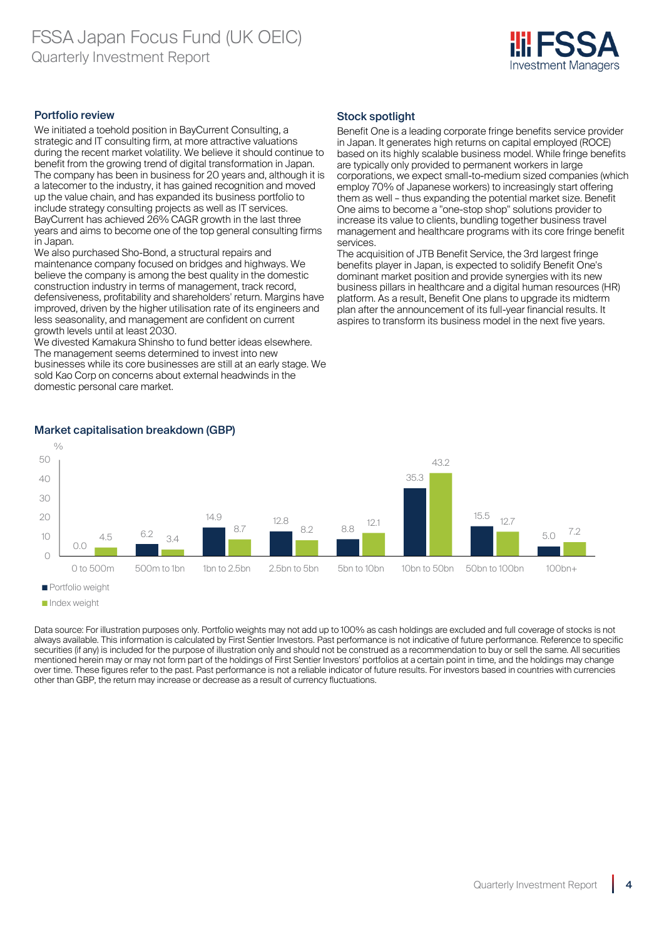

### Portfolio review

We initiated a toehold position in BayCurrent Consulting, a strategic and IT consulting firm, at more attractive valuations during the recent market volatility. We believe it should continue to benefit from the growing trend of digital transformation in Japan. The company has been in business for 20 years and, although it is a latecomer to the industry, it has gained recognition and moved up the value chain, and has expanded its business portfolio to include strategy consulting projects as well as IT services. BayCurrent has achieved 26% CAGR growth in the last three years and aims to become one of the top general consulting firms in Japan.

We also purchased Sho-Bond, a structural repairs and maintenance company focused on bridges and highways. We believe the company is among the best quality in the domestic construction industry in terms of management, track record, defensiveness, profitability and shareholders' return. Margins have improved, driven by the higher utilisation rate of its engineers and less seasonality, and management are confident on current growth levels until at least 2030.

We divested Kamakura Shinsho to fund better ideas elsewhere. The management seems determined to invest into new businesses while its core businesses are still at an early stage. We sold Kao Corp on concerns about external headwinds in the domestic personal care market.

## Stock spotlight

Benefit One is a leading corporate fringe benefits service provider in Japan. It generates high returns on capital employed (ROCE) based on its highly scalable business model. While fringe benefits are typically only provided to permanent workers in large corporations, we expect small-to-medium sized companies (which employ 70% of Japanese workers) to increasingly start offering them as well – thus expanding the potential market size. Benefit One aims to become a "one-stop shop" solutions provider to increase its value to clients, bundling together business travel management and healthcare programs with its core fringe benefit services.

The acquisition of JTB Benefit Service, the 3rd largest fringe benefits player in Japan, is expected to solidify Benefit One's dominant market position and provide synergies with its new business pillars in healthcare and a digital human resources (HR) platform. As a result, Benefit One plans to upgrade its midterm plan after the announcement of its full-year financial results. It aspires to transform its business model in the next five years.



#### Market capitalisation breakdown (GBP)

Data source: For illustration purposes only. Portfolio weights may not add up to 100% as cash holdings are excluded and full coverage of stocks is not always available. This information is calculated by First Sentier Investors. Past performance is not indicative of future performance. Reference to specific securities (if any) is included for the purpose of illustration only and should not be construed as a recommendation to buy or sell the same. All securities mentioned herein may or may not form part of the holdings of First Sentier Investors' portfolios at a certain point in time, and the holdings may change over time. These figures refer to the past. Past performance is not a reliable indicator of future results. For investors based in countries with currencies other than GBP, the return may increase or decrease as a result of currency fluctuations.

Index weight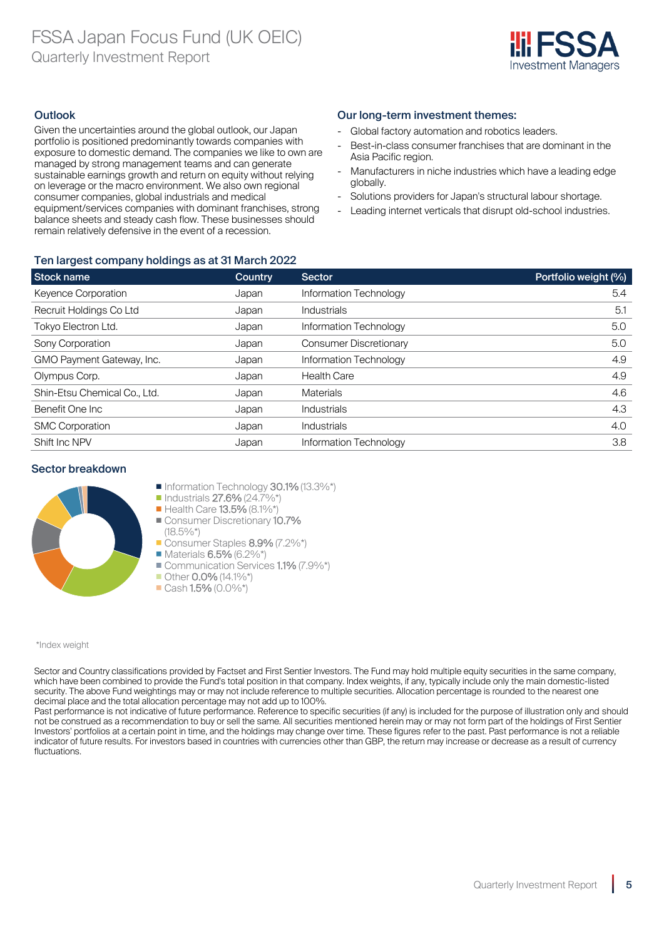

## **Outlook**

Given the uncertainties around the global outlook, our Japan portfolio is positioned predominantly towards companies with exposure to domestic demand. The companies we like to own are managed by strong management teams and can generate sustainable earnings growth and return on equity without relying on leverage or the macro environment. We also own regional consumer companies, global industrials and medical equipment/services companies with dominant franchises, strong balance sheets and steady cash flow. These businesses should remain relatively defensive in the event of a recession.

## Ten largest company holdings as at 31 March 2022

| Stock name                   | Country | Sector                        | Portfolio weight (%) |
|------------------------------|---------|-------------------------------|----------------------|
| Keyence Corporation          | Japan   | Information Technology        | 5.4                  |
| Recruit Holdings Co Ltd      | Japan   | Industrials                   | 5.1                  |
| Tokyo Electron Ltd.          | Japan   | Information Technology        | 5.0                  |
| Sony Corporation             | Japan   | <b>Consumer Discretionary</b> | 5.0                  |
| GMO Payment Gateway, Inc.    | Japan   | Information Technology        | 4.9                  |
| Olympus Corp.                | Japan   | <b>Health Care</b>            | 4.9                  |
| Shin-Etsu Chemical Co., Ltd. | Japan   | <b>Materials</b>              | 4.6                  |
| Benefit One Inc.             | Japan   | Industrials                   | 4.3                  |
| <b>SMC Corporation</b>       | Japan   | <b>Industrials</b>            | 4.0                  |
| Shift Inc NPV                | Japan   | Information Technology        | 3.8                  |

#### Sector breakdown



- Information Technology 30.1% (13.3%\*)
- $\blacksquare$  Industrials 27.6% (24.7%\*)
- Health Care **13.5%** (8.1%\*)
- Consumer Discretionary 10.7%  $(18.5\%*)$

Consumer Staples 8.9% (7.2%\*)

- $\blacksquare$  Materials 6.5% (6.2%\*)
- Communication Services 1.1% (7.9%\*)
- Other 0.0% (14.1%\*)
- $\blacksquare$  Cash 1.5% (0.0%\*)

#### \*Index weight

Sector and Country classifications provided by Factset and First Sentier Investors. The Fund may hold multiple equity securities in the same company, which have been combined to provide the Fund's total position in that company. Index weights, if any, typically include only the main domestic-listed security. The above Fund weightings may or may not include reference to multiple securities. Allocation percentage is rounded to the nearest one decimal place and the total allocation percentage may not add up to 100%.

Past performance is not indicative of future performance. Reference to specific securities (if any) is included for the purpose of illustration only and should not be construed as a recommendation to buy or sell the same. All securities mentioned herein may or may not form part of the holdings of First Sentier Investors' portfolios at a certain point in time, and the holdings may change over time. These figures refer to the past. Past performance is not a reliable indicator of future results. For investors based in countries with currencies other than GBP, the return may increase or decrease as a result of currency fluctuations.

## Our long-term investment themes:

- Global factory automation and robotics leaders.
- Best-in-class consumer franchises that are dominant in the Asia Pacific region.
- Manufacturers in niche industries which have a leading edge globally.
- Solutions providers for Japan's structural labour shortage.
- Leading internet verticals that disrupt old-school industries.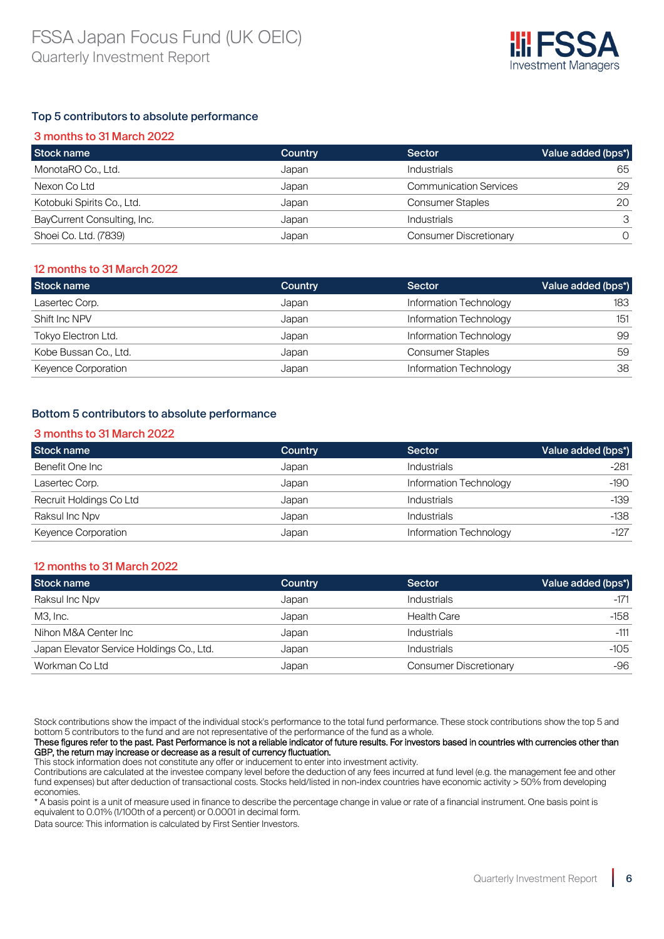

## Top 5 contributors to absolute performance

| 3 months to 31 March 2022   |         |                               |                    |  |  |
|-----------------------------|---------|-------------------------------|--------------------|--|--|
| Stock name                  | Country | Sector                        | Value added (bps*) |  |  |
| MonotaRO Co., Ltd.          | Japan   | Industrials                   | 65                 |  |  |
| Nexon Co Ltd                | Japan   | <b>Communication Services</b> | 29                 |  |  |
| Kotobuki Spirits Co., Ltd.  | Japan   | <b>Consumer Staples</b>       | 20                 |  |  |
| BayCurrent Consulting, Inc. | Japan   | <b>Industrials</b>            |                    |  |  |
| Shoei Co. Ltd. (7839)       | Japan   | <b>Consumer Discretionary</b> |                    |  |  |

## 12 months to 31 March 2022

| Stock name            | Country | Sector                  | Value added (bps*) |
|-----------------------|---------|-------------------------|--------------------|
| Lasertec Corp.        | Japan   | Information Technology  | 183                |
| Shift Inc NPV         | Japan   | Information Technology  | 151                |
| Tokyo Electron Ltd.   | Japan   | Information Technology  | 99                 |
| Kobe Bussan Co., Ltd. | Japan   | <b>Consumer Staples</b> | 59                 |
| Keyence Corporation   | Japan   | Information Technology  | 38                 |

## Bottom 5 contributors to absolute performance

#### 3 months to 31 March 2022

| Stock name              | Country | <b>Sector</b>          | Value added (bps*) |
|-------------------------|---------|------------------------|--------------------|
| Benefit One Inc         | Japan   | <b>Industrials</b>     | $-281$             |
| Lasertec Corp.          | Japan   | Information Technology | $-190$             |
| Recruit Holdings Co Ltd | Japan   | <b>Industrials</b>     | $-139$             |
| Raksul Inc Npv          | Japan   | <b>Industrials</b>     | $-138$             |
| Keyence Corporation     | Japan   | Information Technology | $-127$             |

#### 12 months to 31 March 2022

| Stock name                                | Country | Sector                        | Value added (bps*) |
|-------------------------------------------|---------|-------------------------------|--------------------|
| Raksul Inc Npv                            | Japan   | <b>Industrials</b>            | $-171$             |
| M3, Inc.                                  | Japan   | <b>Health Care</b>            | $-158$             |
| Nihon M&A Center Inc                      | Japan   | <b>Industrials</b>            | $-111$             |
| Japan Elevator Service Holdings Co., Ltd. | Japan   | <b>Industrials</b>            | $-105$             |
| Workman Co Ltd                            | Japan   | <b>Consumer Discretionary</b> | -96                |

Stock contributions show the impact of the individual stock's performance to the total fund performance. These stock contributions show the top 5 and bottom 5 contributors to the fund and are not representative of the performance of the fund as a whole.

#### These figures refer to the past. Past Performance is not a reliable indicator of future results. For investors based in countries with currencies other than GBP, the return may increase or decrease as a result of currency fluctuation.

This stock information does not constitute any offer or inducement to enter into investment activity.

Contributions are calculated at the investee company level before the deduction of any fees incurred at fund level (e.g. the management fee and other fund expenses) but after deduction of transactional costs. Stocks held/listed in non-index countries have economic activity > 50% from developing economies.

\* A basis point is a unit of measure used in finance to describe the percentage change in value or rate of a financial instrument. One basis point is equivalent to 0.01% (1/100th of a percent) or 0.0001 in decimal form.

Data source: This information is calculated by First Sentier Investors.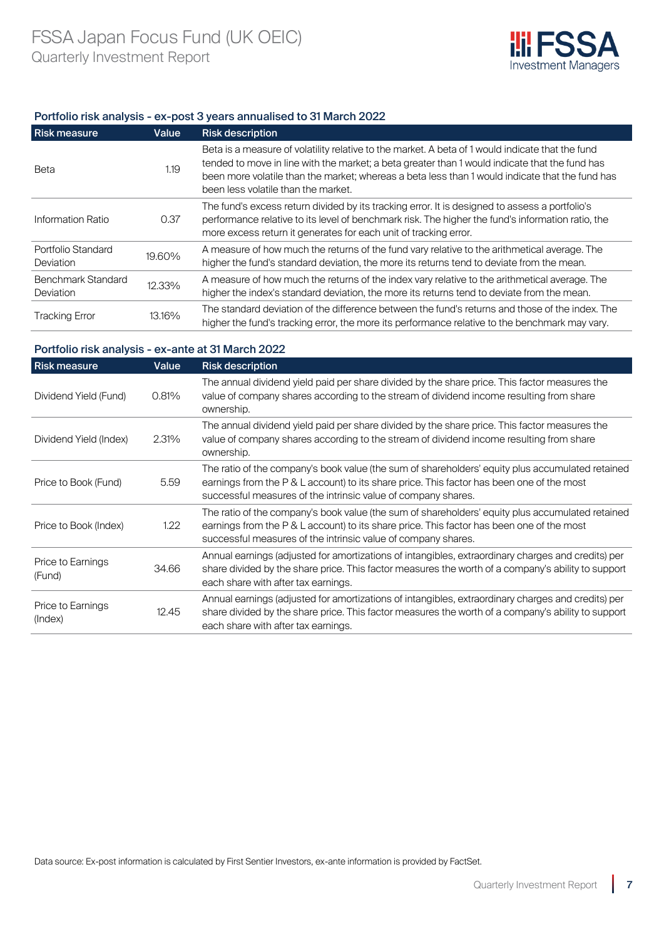

#### Portfolio risk analysis - ex-post 3 years annualised to 31 March 2022

| <b>Risk measure</b>                    | Value  | <b>Risk description</b>                                                                                                                                                                                                                                                                                                                      |
|----------------------------------------|--------|----------------------------------------------------------------------------------------------------------------------------------------------------------------------------------------------------------------------------------------------------------------------------------------------------------------------------------------------|
| Beta                                   | 1.19   | Beta is a measure of volatility relative to the market. A beta of 1 would indicate that the fund<br>tended to move in line with the market; a beta greater than 1 would indicate that the fund has<br>been more volatile than the market; whereas a beta less than 1 would indicate that the fund has<br>been less volatile than the market. |
| Information Ratio                      | 0.37   | The fund's excess return divided by its tracking error. It is designed to assess a portfolio's<br>performance relative to its level of benchmark risk. The higher the fund's information ratio, the<br>more excess return it generates for each unit of tracking error.                                                                      |
| Portfolio Standard<br><b>Deviation</b> | 19.60% | A measure of how much the returns of the fund vary relative to the arithmetical average. The<br>higher the fund's standard deviation, the more its returns tend to deviate from the mean.                                                                                                                                                    |
| Benchmark Standard<br><b>Deviation</b> | 12.33% | A measure of how much the returns of the index vary relative to the arithmetical average. The<br>higher the index's standard deviation, the more its returns tend to deviate from the mean.                                                                                                                                                  |
| <b>Tracking Error</b>                  | 13.16% | The standard deviation of the difference between the fund's returns and those of the index. The<br>higher the fund's tracking error, the more its performance relative to the benchmark may vary.                                                                                                                                            |

## Portfolio risk analysis - ex-ante at 31 March 2022

| <b>Risk measure</b>          | Value | <b>Risk description</b>                                                                                                                                                                                                                                        |
|------------------------------|-------|----------------------------------------------------------------------------------------------------------------------------------------------------------------------------------------------------------------------------------------------------------------|
| Dividend Yield (Fund)        | 0.81% | The annual dividend yield paid per share divided by the share price. This factor measures the<br>value of company shares according to the stream of dividend income resulting from share<br>ownership.                                                         |
| Dividend Yield (Index)       | 2.31% | The annual dividend yield paid per share divided by the share price. This factor measures the<br>value of company shares according to the stream of dividend income resulting from share<br>ownership.                                                         |
| Price to Book (Fund)         | 5.59  | The ratio of the company's book value (the sum of shareholders' equity plus accumulated retained<br>earnings from the P & L account) to its share price. This factor has been one of the most<br>successful measures of the intrinsic value of company shares. |
| Price to Book (Index)        | 1.22  | The ratio of the company's book value (the sum of shareholders' equity plus accumulated retained<br>earnings from the P & L account) to its share price. This factor has been one of the most<br>successful measures of the intrinsic value of company shares. |
| Price to Earnings<br>(Fund)  | 34.66 | Annual earnings (adjusted for amortizations of intangibles, extraordinary charges and credits) per<br>share divided by the share price. This factor measures the worth of a company's ability to support<br>each share with after tax earnings.                |
| Price to Earnings<br>(Index) | 12.45 | Annual earnings (adjusted for amortizations of intangibles, extraordinary charges and credits) per<br>share divided by the share price. This factor measures the worth of a company's ability to support<br>each share with after tax earnings.                |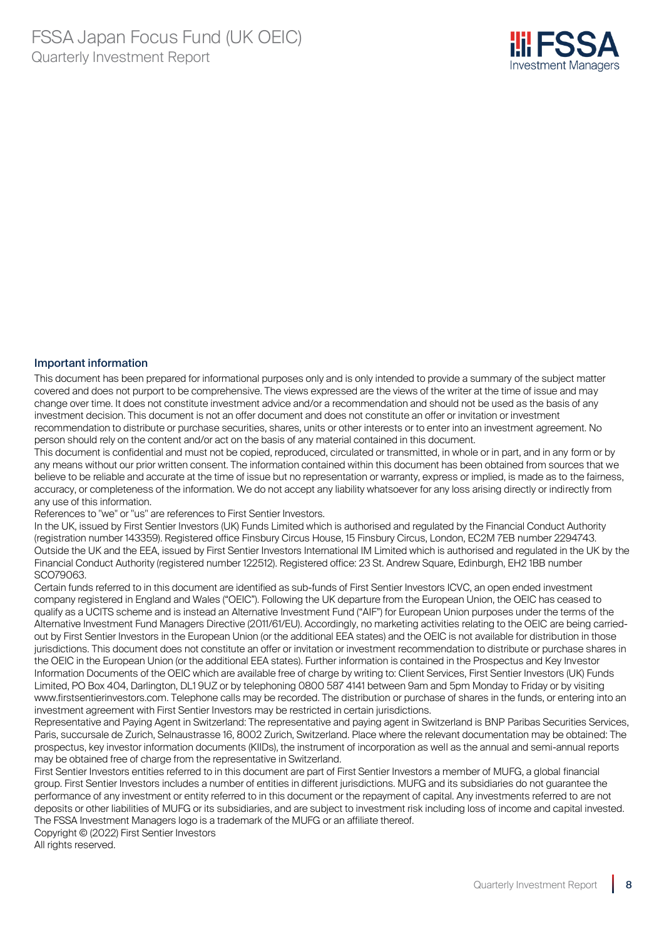

#### Important information

This document has been prepared for informational purposes only and is only intended to provide a summary of the subject matter covered and does not purport to be comprehensive. The views expressed are the views of the writer at the time of issue and may change over time. It does not constitute investment advice and/or a recommendation and should not be used as the basis of any investment decision. This document is not an offer document and does not constitute an offer or invitation or investment recommendation to distribute or purchase securities, shares, units or other interests or to enter into an investment agreement. No person should rely on the content and/or act on the basis of any material contained in this document.

This document is confidential and must not be copied, reproduced, circulated or transmitted, in whole or in part, and in any form or by any means without our prior written consent. The information contained within this document has been obtained from sources that we believe to be reliable and accurate at the time of issue but no representation or warranty, express or implied, is made as to the fairness, accuracy, or completeness of the information. We do not accept any liability whatsoever for any loss arising directly or indirectly from any use of this information.

References to "we" or "us" are references to First Sentier Investors.

In the UK, issued by First Sentier Investors (UK) Funds Limited which is authorised and regulated by the Financial Conduct Authority (registration number 143359). Registered office Finsbury Circus House, 15 Finsbury Circus, London, EC2M 7EB number 2294743. Outside the UK and the EEA, issued by First Sentier Investors International IM Limited which is authorised and regulated in the UK by the Financial Conduct Authority (registered number 122512). Registered office: 23 St. Andrew Square, Edinburgh, EH2 1BB number SCO79063.

Certain funds referred to in this document are identified as sub-funds of First Sentier Investors ICVC, an open ended investment company registered in England and Wales ("OEIC"). Following the UK departure from the European Union, the OEIC has ceased to qualify as a UCITS scheme and is instead an Alternative Investment Fund ("AIF") for European Union purposes under the terms of the Alternative Investment Fund Managers Directive (2011/61/EU). Accordingly, no marketing activities relating to the OEIC are being carriedout by First Sentier Investors in the European Union (or the additional EEA states) and the OEIC is not available for distribution in those jurisdictions. This document does not constitute an offer or invitation or investment recommendation to distribute or purchase shares in the OEIC in the European Union (or the additional EEA states). Further information is contained in the Prospectus and Key Investor Information Documents of the OEIC which are available free of charge by writing to: Client Services, First Sentier Investors (UK) Funds Limited, PO Box 404, Darlington, DL1 9UZ or by telephoning 0800 587 4141 between 9am and 5pm Monday to Friday or by visiting www.firstsentierinvestors.com. Telephone calls may be recorded. The distribution or purchase of shares in the funds, or entering into an investment agreement with First Sentier Investors may be restricted in certain jurisdictions.

Representative and Paying Agent in Switzerland: The representative and paying agent in Switzerland is BNP Paribas Securities Services, Paris, succursale de Zurich, Selnaustrasse 16, 8002 Zurich, Switzerland. Place where the relevant documentation may be obtained: The prospectus, key investor information documents (KIIDs), the instrument of incorporation as well as the annual and semi-annual reports may be obtained free of charge from the representative in Switzerland.

First Sentier Investors entities referred to in this document are part of First Sentier Investors a member of MUFG, a global financial group. First Sentier Investors includes a number of entities in different jurisdictions. MUFG and its subsidiaries do not guarantee the performance of any investment or entity referred to in this document or the repayment of capital. Any investments referred to are not deposits or other liabilities of MUFG or its subsidiaries, and are subject to investment risk including loss of income and capital invested. The FSSA Investment Managers logo is a trademark of the MUFG or an affiliate thereof.

Copyright © (2022) First Sentier Investors All rights reserved.